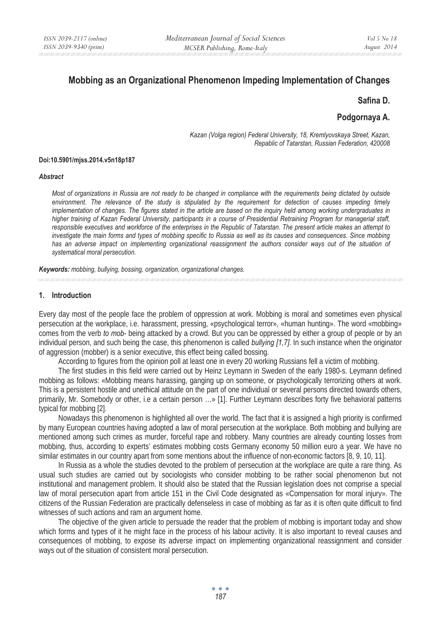# **Mobbing as an Organizational Phenomenon Impeding Implementation of Changes**

### **Safina D.**

## **Podgornaya A.**

*Kazan (Volga region) Federal University, 18, Kremlyovskaya Street, Kazan, Repablic of Tatarstan, Russian Federation, 420008* 

#### **Doi:10.5901/mjss.2014.v5n18p187**

#### *Abstract*

*Most of organizations in Russia are not ready to be changed in compliance with the requirements being dictated by outside*  environment. The relevance of the study is stipulated by the requirement for detection of causes impeding timely *implementation of changes. The figures stated in the article are based on the inquiry held among working undergraduates in higher training of Kazan Federal University, participants in a course of Presidential Retraining Program for managerial staff, responsible executives and workforce of the enterprises in the Republic of Tatarstan. The present article makes an attempt to investigate the main forms and types of mobbing specific to Russia as well as its causes and consequences. Since mobbing*  has an adverse impact on implementing organizational reassignment the authors consider ways out of the situation of *systematical moral persecution.* 

*Keywords: mobbing, bullying, bossing, organization, organizational changes.*

#### **1. Introduction**

Every day most of the people face the problem of oppression at work. Mobbing is moral and sometimes even physical persecution at the workplace, i.e. harassment, pressing, «psychological terror», «human hunting». The word «mobbing» comes from the verb *to mob*- being attacked by a crowd. But you can be oppressed by either a group of people or by an individual person, and such being the case, this phenomenon is called *bullying [1,7]*. In such instance when the originator of aggression (mobber) is a senior executive, this effect being called bossing.

According to figures from the opinion poll at least one in every 20 working Russians fell a victim of mobbing.

The first studies in this field were carried out by Heinz Leymann in Sweden of the early 1980-s. Leymann defined mobbing as follows: «Mobbing means harassing, ganging up on someone, or psychologically terrorizing others at work. This is a persistent hostile and unethical attitude on the part of one individual or several persons directed towards others, primarily, Mr. Somebody or other, i.e a certain person …» [1]. Further Leymann describes forty five behavioral patterns typical for mobbing [2].

Nowadays this phenomenon is highlighted all over the world. The fact that it is assigned a high priority is confirmed by many European countries having adopted a law of moral persecution at the workplace. Both mobbing and bullying are mentioned among such crimes as murder, forceful rape and robbery. Many countries are already counting losses from mobbing, thus, according to experts' estimates mobbing costs Germany economy 50 million euro a year. We have no similar estimates in our country apart from some mentions about the influence of non-economic factors [8, 9, 10, 11].

In Russia as a whole the studies devoted to the problem of persecution at the workplace are quite a rare thing. As usual such studies are carried out by sociologists who consider mobbing to be rather social phenomenon but not institutional and management problem. It should also be stated that the Russian legislation does not comprise a special law of moral persecution apart from article 151 in the Civil Code designated as «Compensation for moral injury». The citizens of the Russian Federation are practically defenseless in case of mobbing as far as it is often quite difficult to find witnesses of such actions and ram an argument home.

The objective of the given article to persuade the reader that the problem of mobbing is important today and show which forms and types of it he might face in the process of his labour activity. It is also important to reveal causes and consequences of mobbing, to expose its adverse impact on implementing organizational reassignment and consider ways out of the situation of consistent moral persecution.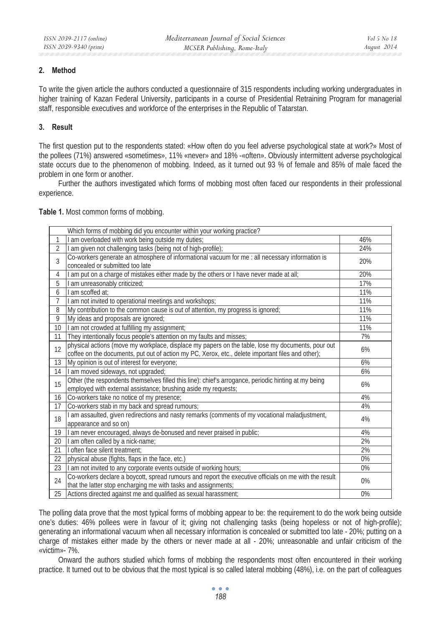## **2. Method**

To write the given article the authors conducted a questionnaire of 315 respondents including working undergraduates in higher training of Kazan Federal University, participants in a course of Presidential Retraining Program for managerial staff, responsible executives and workforce of the enterprises in the Republic of Tatarstan.

## **3. Result**

The first question put to the respondents stated: «How often do you feel adverse psychological state at work?» Most of the pollees (71%) answered «sometimes», 11% «never» and 18% -«often». Obviously intermittent adverse psychological state occurs due to the phenomenon of mobbing. Indeed, as it turned out 93 % of female and 85% of male faced the problem in one form or another.

Further the authors investigated which forms of mobbing most often faced our respondents in their professional experience.

**Table 1.** Most common forms of mobbing.

|                | Which forms of mobbing did you encounter within your working practice?                                                                                                                                 |       |
|----------------|--------------------------------------------------------------------------------------------------------------------------------------------------------------------------------------------------------|-------|
| 1              | am overloaded with work being outside my duties;                                                                                                                                                       | 46%   |
| $\overline{2}$ | I am given not challenging tasks (being not of high-profile);                                                                                                                                          | 24%   |
| 3              | Co-workers generate an atmosphere of informational vacuum for me : all necessary information is<br>concealed or submitted too late                                                                     | 20%   |
| 4              | am put on a charge of mistakes either made by the others or I have never made at all;                                                                                                                  | 20%   |
| 5              | am unreasonably criticized;                                                                                                                                                                            | 17%   |
| 6              | am scoffed at:                                                                                                                                                                                         | 11%   |
| $\overline{7}$ | I am not invited to operational meetings and workshops;                                                                                                                                                | 11%   |
| 8              | My contribution to the common cause is out of attention, my progress is ignored;                                                                                                                       | 11%   |
| 9              | My ideas and proposals are ignored;                                                                                                                                                                    | 11%   |
| 10             | I am not crowded at fulfilling my assignment;                                                                                                                                                          | 11%   |
| 11             | They intentionally focus people's attention on my faults and misses;                                                                                                                                   | 7%    |
| 12             | physical actions (move my workplace, displace my papers on the table, lose my documents, pour out<br>coffee on the documents, put out of action my PC, Xerox, etc., delete important files and other); | 6%    |
| 13             | My opinion is out of interest for everyone;                                                                                                                                                            | 6%    |
| 14             | I am moved sideways, not upgraded;                                                                                                                                                                     | 6%    |
| 15             | Other (the respondents themselves filled this line): chief's arrogance, periodic hinting at my being<br>employed with external assistance; brushing aside my requests;                                 | 6%    |
| 16             | Co-workers take no notice of my presence;                                                                                                                                                              | 4%    |
| 17             | Co-workers stab in my back and spread rumours;                                                                                                                                                         | 4%    |
| 18             | am assaulted, given redirections and nasty remarks (comments of my vocational maladjustment,<br>appearance and so on)                                                                                  | 4%    |
| 19             | am never encouraged, always de-bonused and never praised in public;                                                                                                                                    | 4%    |
| 20             | am often called by a nick-name;                                                                                                                                                                        | 2%    |
| 21             | I often face silent treatment:                                                                                                                                                                         | 2%    |
| 22             | physical abuse (fights, flaps in the face, etc.)                                                                                                                                                       | $0\%$ |
| 23             | I am not invited to any corporate events outside of working hours;                                                                                                                                     | 0%    |
| 24             | Co-workers declare a boycott, spread rumours and report the executive officials on me with the result<br>that the latter stop encharging me with tasks and assignments;                                | $0\%$ |
| 25             | Actions directed against me and qualified as sexual harassment;                                                                                                                                        | 0%    |

The polling data prove that the most typical forms of mobbing appear to be: the requirement to do the work being outside one's duties: 46% pollees were in favour of it; giving not challenging tasks (being hopeless or not of high-profile); generating an informational vacuum when all necessary information is concealed or submitted too late - 20%; putting on a charge of mistakes either made by the others or never made at all - 20%; unreasonable and unfair criticism of the «victim»- 7%.

Onward the authors studied which forms of mobbing the respondents most often encountered in their working practice. It turned out to be obvious that the most typical is so called lateral mobbing (48%), i.e. on the part of colleagues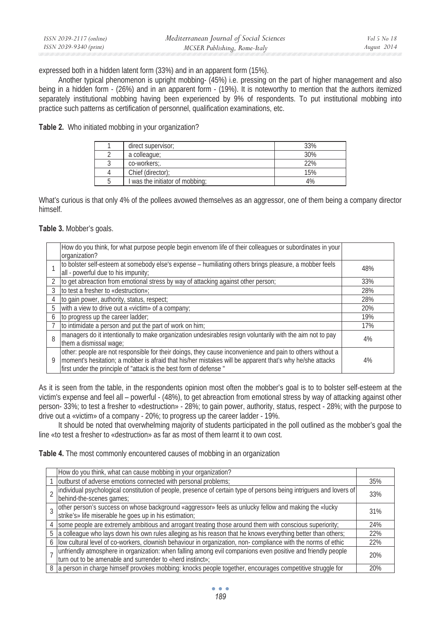| ISSN 2039-2117 (online) | Mediterranean Journal of Social Sciences | Vol 5 No 18 |
|-------------------------|------------------------------------------|-------------|
| ISSN 2039-9340 (print)  | MCSER Publishing, Rome-Italy             | August 2014 |

expressed both in a hidden latent form (33%) and in an apparent form (15%).

Another typical phenomenon is upright mobbing- (45%) i.e. pressing on the part of higher management and also being in a hidden form - (26%) and in an apparent form - (19%). It is noteworthy to mention that the authors itemized separately institutional mobbing having been experienced by 9% of respondents. To put institutional mobbing into practice such patterns as certification of personnel, qualification examinations, etc.

**Table 2.** Who initiated mobbing in your organization?

| direct supervisor;              | 33% |
|---------------------------------|-----|
| a colleague;                    | 30% |
| co-workers:                     | 22% |
| Chief (director);               | 15% |
| I was the initiator of mobbing; | 4%  |

What's curious is that only 4% of the pollees avowed themselves as an aggressor, one of them being a company director himself.

**Table 3.** Mobber's goals.

|   | How do you think, for what purpose people begin envenom life of their colleagues or subordinates in your                                      |     |
|---|-----------------------------------------------------------------------------------------------------------------------------------------------|-----|
|   | organization?                                                                                                                                 |     |
|   | to bolster self-esteem at somebody else's expense - humiliating others brings pleasure, a mobber feels<br>all - powerful due to his impunity; | 48% |
|   |                                                                                                                                               |     |
|   | to get abreaction from emotional stress by way of attacking against other person;                                                             | 33% |
| 3 | to test a fresher to «destruction»:                                                                                                           | 28% |
| 4 | to gain power, authority, status, respect;                                                                                                    | 28% |
| 5 | with a view to drive out a «victim» of a company;                                                                                             | 20% |
| 6 | to progress up the career ladder;                                                                                                             | 19% |
|   | to intimidate a person and put the part of work on him;                                                                                       | 17% |
| 8 | managers do it intentionally to make organization undesirables resign voluntarily with the aim not to pay<br>them a dismissal wage;           | 4%  |
|   |                                                                                                                                               |     |
|   | other: people are not responsible for their doings, they cause inconvenience and pain to others without a                                     |     |
|   | moment's hesitation; a mobber is afraid that his/her mistakes will be apparent that's why he/she attacks                                      | 4%  |
|   | first under the principle of "attack is the best form of defense"                                                                             |     |

As it is seen from the table, in the respondents opinion most often the mobber's goal is to to bolster self-esteem at the victim's expense and feel all – powerful - (48%), to get abreaction from emotional stress by way of attacking against other person- 33%; to test a fresher to «destruction» - 28%; to gain power, authority, status, respect - 28%; with the purpose to drive out a «victim» of a company - 20%; to progress up the career ladder - 19%.

It should be noted that overwhelming majority of students participated in the poll outlined as the mobber's goal the line «to test a fresher to «destruction» as far as most of them learnt it to own cost.

**Table 4.** The most commonly encountered causes of mobbing in an organization

| How do you think, what can cause mobbing in your organization?                                                                                                             |     |
|----------------------------------------------------------------------------------------------------------------------------------------------------------------------------|-----|
| outburst of adverse emotions connected with personal problems;                                                                                                             | 35% |
| individual psychological constitution of people, presence of certain type of persons being intriguers and lovers of<br>behind-the-scenes games;                            | 33% |
| other person's success on whose background «aggressor» feels as unlucky fellow and making the «lucky strike's» life miserable he goes up in his estimation;                | 31% |
| some people are extremely ambitious and arrogant treating those around them with conscious superiority;                                                                    | 24% |
| 5 a colleague who lays down his own rules alleging as his reason that he knows everything better than others;                                                              | 22% |
| 6   low cultural level of co-workers, clownish behaviour in organization, non-compliance with the norms of ethic                                                           | 22% |
| 7 unfriendly atmosphere in organization: when falling among evil companions even positive and friendly people<br>turn out to be amenable and surrender to «herd instinct»; | 20% |
| 8 a person in charge himself provokes mobbing: knocks people together, encourages competitive struggle for                                                                 | 20% |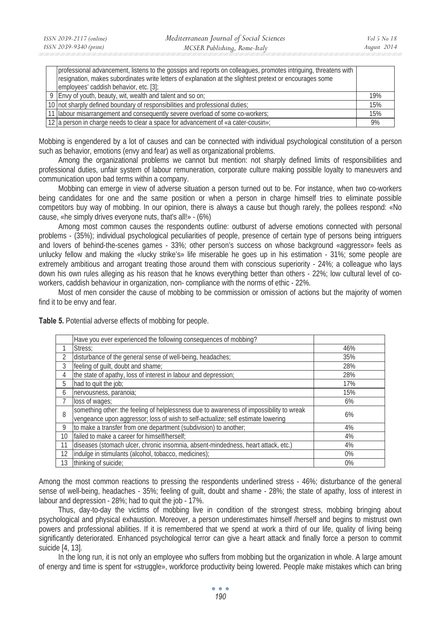| professional advancement, listens to the gossips and reports on colleagues, promotes intriguing, threatens with<br>resignation, makes subordinates write letters of explanation at the slightest pretext or encourages some<br>employees' caddish behavior, etc. [3]; |     |
|-----------------------------------------------------------------------------------------------------------------------------------------------------------------------------------------------------------------------------------------------------------------------|-----|
| 9 Envy of youth, beauty, wit, wealth and talent and so on:                                                                                                                                                                                                            | 19% |
| 10 not sharply defined boundary of responsibilities and professional duties;                                                                                                                                                                                          | 15% |
| 11 labour misarrangement and consequently severe overload of some co-workers;                                                                                                                                                                                         | 15% |
| 12 a person in charge needs to clear a space for advancement of «a cater-cousin»;                                                                                                                                                                                     | 9%  |

Mobbing is engendered by a lot of causes and can be connected with individual psychological constitution of a person such as behavior, emotions (envy and fear) as well as organizational problems.

Among the organizational problems we cannot but mention: not sharply defined limits of responsibilities and professional duties, unfair system of labour remuneration, corporate culture making possible loyalty to maneuvers and communication upon bad terms within a company.

Mobbing can emerge in view of adverse situation a person turned out to be. For instance, when two co-workers being candidates for one and the same position or when a person in charge himself tries to eliminate possible competitors buy way of mobbing. In our opinion, there is always a cause but though rarely, the pollees respond: «No cause, «he simply drives everyone nuts, that's all!» - (6%)

Among most common causes the respondents outline: outburst of adverse emotions connected with personal problems - (35%); individual psychological peculiarities of people, presence of certain type of persons being intriguers and lovers of behind-the-scenes games - 33%; other person's success on whose background «aggressor» feels as unlucky fellow and making the «lucky strike's» life miserable he goes up in his estimation - 31%; some people are extremely ambitious and arrogant treating those around them with conscious superiority - 24%; a colleague who lays down his own rules alleging as his reason that he knows everything better than others - 22%; low cultural level of coworkers, caddish behaviour in organization, non- compliance with the norms of ethic - 22%.

Most of men consider the cause of mobbing to be commission or omission of actions but the majority of women find it to be envy and fear.

**Table 5.** Potential adverse effects of mobbing for people.

|    | Have you ever experienced the following consequences of mobbing?                                                                                                            |       |
|----|-----------------------------------------------------------------------------------------------------------------------------------------------------------------------------|-------|
|    | Stress:                                                                                                                                                                     | 46%   |
| 2  | disturbance of the general sense of well-being, headaches;                                                                                                                  | 35%   |
| 3  | feeling of guilt, doubt and shame;                                                                                                                                          | 28%   |
| 4  | the state of apathy, loss of interest in labour and depression;                                                                                                             | 28%   |
| 5  | had to quit the job;                                                                                                                                                        | 17%   |
| 6  | nervousness, paranoia;                                                                                                                                                      | 15%   |
|    | loss of wages;                                                                                                                                                              | 6%    |
| 8  | something other: the feeling of helplessness due to awareness of impossibility to wreak<br>vengeance upon aggressor; loss of wish to self-actualize; self estimate lowering | 6%    |
| 9  | to make a transfer from one department (subdivision) to another;                                                                                                            | 4%    |
| 10 | failed to make a career for himself/herself;                                                                                                                                | 4%    |
| 11 | diseases (stomach ulcer, chronic insomnia, absent-mindedness, heart attack, etc.)                                                                                           | 4%    |
| 12 | indulge in stimulants (alcohol, tobacco, medicines);                                                                                                                        | $0\%$ |
| 13 | thinking of suicide:                                                                                                                                                        | 0%    |

Among the most common reactions to pressing the respondents underlined stress - 46%; disturbance of the general sense of well-being, headaches - 35%; feeling of guilt, doubt and shame - 28%; the state of apathy, loss of interest in labour and depression - 28%; had to quit the job - 17%.

Thus, day-to-day the victims of mobbing live in condition of the strongest stress, mobbing bringing about psychological and physical exhaustion. Moreover, a person underestimates himself /herself and begins to mistrust own powers and professional abilities. If it is remembered that we spend at work a third of our life, quality of living being significantly deteriorated. Enhanced psychological terror can give a heart attack and finally force a person to commit suicide [4, 13].

In the long run, it is not only an employee who suffers from mobbing but the organization in whole. A large amount of energy and time is spent for «struggle», workforce productivity being lowered. People make mistakes which can bring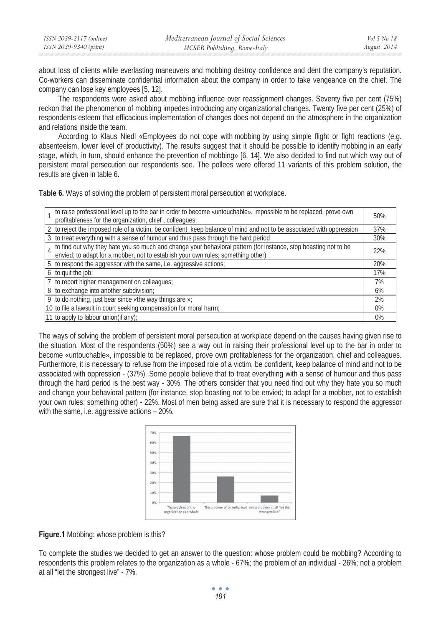| ISSN 2039-2117 (online) | Mediterranean Journal of Social Sciences | <i>Vol</i> 5 No 18 |
|-------------------------|------------------------------------------|--------------------|
| ISSN 2039-9340 (print)  | MCSER Publishing, Rome-Italy             | August 2014        |

about loss of clients while everlasting maneuvers and mobbing destroy confidence and dent the company's reputation. Co-workers can disseminate confidential information about the company in order to take vengeance on the chief. The company can lose key employees [5, 12].

The respondents were asked about mobbing influence over reassignment changes. Seventy five per cent (75%) reckon that the phenomenon of mobbing impedes introducing any organizational changes. Twenty five per cent (25%) of respondents esteem that efficacious implementation of changes does not depend on the atmosphere in the organization and relations inside the team.

According to Klaus Niedl «Employees do not cope with mobbing by using simple flight or fight reactions (e.g. absenteeism, lower level of productivity). The results suggest that it should be possible to identify mobbing in an early stage, which, in turn, should enhance the prevention of mobbing» [6, 14]. We also decided to find out which way out of persistent moral persecution our respondents see. The pollees were offered 11 variants of this problem solution, the results are given in table 6.

**Table 6.** Ways of solving the problem of persistent moral persecution at workplace.

| 1 to raise professional level up to the bar in order to become «untouchable», impossible to be replaced, prove own<br>profitableness for the organization, chief, colleagues;                      | 50% |
|----------------------------------------------------------------------------------------------------------------------------------------------------------------------------------------------------|-----|
| 2 to reject the imposed role of a victim, be confident, keep balance of mind and not to be associated with oppression                                                                              | 37% |
| 3 to treat everything with a sense of humour and thus pass through the hard period                                                                                                                 | 30% |
| 4 to find out why they hate you so much and change your behavioral pattern (for instance, stop boasting not to be envied; to adapt for a mobber, not to establish your own rules; something other) | 22% |
| 5 to respond the aggressor with the same, i.e. aggressive actions;                                                                                                                                 | 20% |
| 6 to quit the job;                                                                                                                                                                                 | 17% |
| 7 to report higher management on colleagues;                                                                                                                                                       | 7%  |
| 8 to exchange into another subdivision;                                                                                                                                                            | 6%  |
| 9 to do nothing, just bear since «the way things are »;                                                                                                                                            | 2%  |
| 10 to file a lawsuit in court seeking compensation for moral harm;                                                                                                                                 | 0%  |
| 11 to apply to labour union(if any);                                                                                                                                                               | 0%  |

The ways of solving the problem of persistent moral persecution at workplace depend on the causes having given rise to the situation. Most of the respondents (50%) see a way out in raising their professional level up to the bar in order to become «untouchable», impossible to be replaced, prove own profitableness for the organization, chief and colleagues. Furthermore, it is necessary to refuse from the imposed role of a victim, be confident, keep balance of mind and not to be associated with oppression - (37%). Some people believe that to treat everything with a sense of humour and thus pass through the hard period is the best way - 30%. The others consider that you need find out why they hate you so much and change your behavioral pattern (for instance, stop boasting not to be envied; to adapt for a mobber, not to establish your own rules; something other) - 22%. Most of men being asked are sure that it is necessary to respond the aggressor with the same, i.e. aggressive actions – 20%.



**Figure.1** Mobbing: whose problem is this?

To complete the studies we decided to get an answer to the question: whose problem could be mobbing? According to respondents this problem relates to the organization as a whole - 67%; the problem of an individual - 26%; not a problem at all "let the strongest live" - 7%.